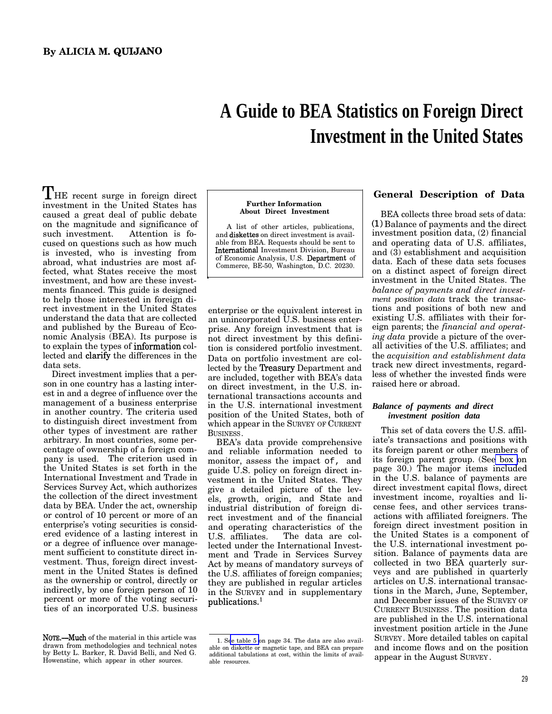# **A Guide to BEA Statistics on Foreign Direct Investment in the United States**

THE recent surge in foreign direct investment in the United States has caused a great deal of public debate on the magnitude and significance of such investment. Attention is focused on questions such as how much is invested, who is investing from abroad, what industries are most affected, what States receive the most investment, and how are these investments financed. This guide is designed to help those interested in foreign direct investment in the United States understand the data that are collected and published by the Bureau of Economic Analysis (BEA). Its purpose is to explain the types of information collected and clarify the differences in the data sets.

Direct investment implies that a person in one country has a lasting interest in and a degree of influence over the management of a business enterprise in another country. The criteria used to distinguish direct investment from other types of investment are rather arbitrary. In most countries, some percentage of ownership of a foreign company is used. The criterion used in the United States is set forth in the International Investment and Trade in Services Survey Act, which authorizes the collection of the direct investment data by BEA. Under the act, ownership or control of 10 percent or more of an enterprise's voting securities is considered evidence of a lasting interest in or a degree of influence over management sufficient to constitute direct investment. Thus, foreign direct investment in the United States is defined as the ownership or control, directly or indirectly, by one foreign person of 10 percent or more of the voting securities of an incorporated U.S. business

#### **Further Information About Direct Investment**

A list of other articles, publications, and diskettes on direct investment is available from BEA. Requests should be sent to Intermationd Investment Division, Bureau of Economic Analysis, U.S. Depatiment of Commerce, BE-50, Washington, D.C. 20230.

h

enterprise or the equivalent interest in an unincorporated U.S. business enterprise. Any foreign investment that is not direct investment by this definition is considered portfolio investment. Data on portfolio investment are collected by the **Treasury** Department and are included, together with BEA's data on direct investment, in the U.S. international transactions accounts and in the U.S. international investment position of the United States, both of which appear in the SURVEY OF CURRENT BUSINESS.

BEA's data provide comprehensive and reliable information needed to monitor, assess the impact of, and guide U.S. policy on foreign direct investment in the United States. They give a detailed picture of the levels, growth, origin, and State and industrial distribution of foreign direct investment and of the financial and operating characteristics of the<br>U.S. affiliates The data are col-The data are collected under the International Investment and Trade in Services Survey Act by means of mandatory surveys of the U.S. affiliates of foreign companies; they are published in regular articles in the SURVEY and in supplementary publications.1

## **General Description of Data**

BEA collects three broad sets of data:  $(1)$  Balance of payments and the direct investment position data, (2) financial and operating data of U.S. affiliates, and (3) establishment and acquisition data. Each of these data sets focuses on a distinct aspect of foreign direct investment in the United States. The *balance of payments and direct investment position data* track the transactions and positions of both new and existing U.S. affiliates with their foreign parents; the *financial and operating data* provide a picture of the overall activities of the U.S. affiliates; and the *acquisition and establishment data* track new direct investments, regardless of whether the invested finds were raised here or abroad.

## *Balance of payments and direct investment position data*

This set of data covers the U.S. affiliate's transactions and positions with its foreign parent or other members of its foreign parent group. (Se[e box](#page-1-0) on page 30.) The major items included in the U.S. balance of payments are direct investment capital flows, direct investment income, royalties and license fees, and other services transactions with affiliated foreigners. The foreign direct investment position in the United States is a component of the U.S. international investment position. Balance of payments data are collected in two BEA quarterly surveys and are published in quarterly articles on U.S. international transactions in the March, June, September, and December issues of the SURVEY OF CURRENT BUSINESS . The position data are published in the U.S. international investment position article in the June SURVEY. More detailed tables on capital and income flows and on the position appear in the August SURVEY .

NOTE.—Much of the material in this article was drawn from methodologies and technical notes by Betty L. Barker, R. David Belli, and Ned G. Howenstine, which appear in other sources.

<sup>1.</sup> S[ee table 5](#page-5-0) on page 34. The data are also available on diskette or magnetic tape, and BEA can prepare additional tabulations at cost, within the limits of available resources.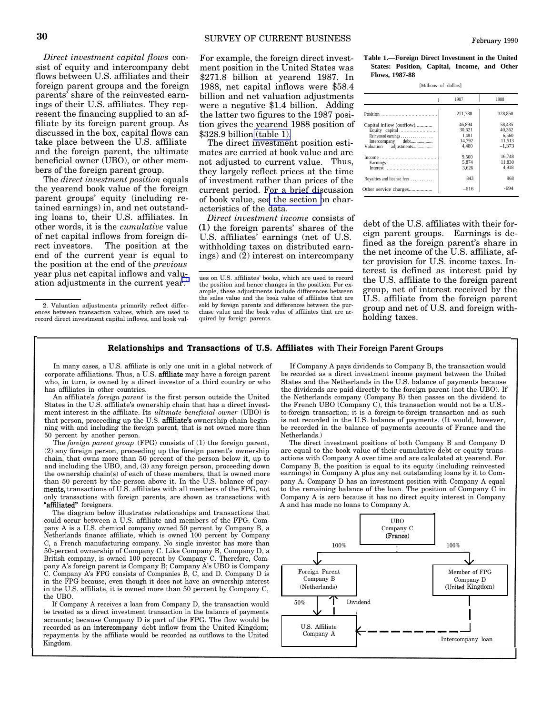<span id="page-1-0"></span>*Direct investment capital flows* consist of equity and intercompany debt flows between U.S. affiliates and their foreign parent groups and the foreign parents' share of the reinvested earnings of their U.S. affiliates. They represent the financing supplied to an affiliate by its foreign parent group. As discussed in the box, capital flows can take place between the U.S. affiliate and the foreign parent, the ultimate beneficial owner (UBO), or other members of the foreign parent group.

The *direct investment position* equals the yearend book value of the foreign parent groups' equity (including retained earnings) in, and net outstanding loans to, their U.S. affiliates. In other words, it is the *cumulative* value of net capital inflows from foreign direct investors. The position at the end of the current year is equal to the position at the end of the *previous* year plus net capital inflows and valuation adjustments in the current year.<sup>2</sup>

For example, the foreign direct investment position in the United States was \$271.8 billion at yearend 1987. In 1988, net capital inflows were \$58.4 billion and net valuation adjustments were a negative \$1.4 billion. Adding the latter two figures to the 1987 position gives the yearend 1988 position of \$328.9 billion (table 1).

The direct investment position estimates are carried at book value and are not adjusted to current value. Thus, they largely reflect prices at the time of investment rather than prices of the current period. For a brief discussion of book value, se[e the section o](#page-4-0)n characteristics of the data.

*Direct investment income* consists of  $(1)$  the foreign parents' shares of the U.S. affiliates' earnings (net of U.S. withholding taxes on distributed earnings) and (2) interest on intercompany

ues on U.S. affiliates' books, which are used to record the position and hence changes in the position. For example, these adjustments include differences between the sales value and the book value of affiliates that are sold by foreign parents and differences between the purchase value and the book value of affiliates that are acquired by foreign parents.

February 1990

| [Millions of dollars] |  |
|-----------------------|--|
|                       |  |

|                                                                                                  | 1987                                         | 1988                                            |
|--------------------------------------------------------------------------------------------------|----------------------------------------------|-------------------------------------------------|
|                                                                                                  | 271.788                                      | 328,850                                         |
| Capital inflow (outflow)<br>Reinvested earnings<br>Intercompany debt<br>adjustments<br>Valuation | 46.894<br>30.621<br>1.481<br>14.792<br>4.480 | 58.435<br>40.362<br>6.560<br>11.513<br>$-1.373$ |
|                                                                                                  | 9.500<br>5.874<br>3.626                      | 16.748<br>11.830<br>4.918                       |
| Royalties and license fees                                                                       | 843                                          | 968                                             |
| Other service charges                                                                            | $-616$                                       | $-694$                                          |

debt of the U.S. affiliates with their foreign parent groups. Earnings is defined as the foreign parent's share in the net income of the U.S. affiliate, after provision for U.S. income taxes. Interest is defined as interest paid by the U.S. affiliate to the foreign parent group, net of interest received by the U.S. affiliate from the foreign parent group and net of U.S. and foreign withholding taxes.

## Relationships and Transactions of U.S. Affiliates **with Their Foreign Parent Groups**

corporate affiliations. Thus, a U.S. **affiliate** may have a foreign parent be recorded as a direct investment income payment between the United who, in turn, is owned by a direct investor of a third country or who States a who, in turn, is owned by a direct investor of a third country or who has affiliates in other countries. the dividends are paid directly to the foreign parent (not the UBO). If

States in the U.S. affiliate's ownership chain that has a direct invest-<br>ment interest in the affiliate. Its *ultimate beneficial owner* (UBO) is<br>to-foreign transaction; it is a foreign-to-foreign transaction and as such ment interest in the affiliate. Its *ultimate beneficial owner* (UBO) is to-foreign transaction; it is a foreign-to-foreign transaction and as such that person, proceeding up the U.S. affi**liate's** ownership chain begin- i that person, proceeding up the U.S. affiliate's ownership chain begin- is not recorded in the U.S. balance of payments. (It would, however, ning with and including the foreign parent, that is not owned more than be recorde ning with and including the foreign parent, that is not owned more than be recorded in the balance of payments be recorded in the payments of payments of payments of payments of payments of payments of payments of payments 50 percent by another person.<br>The *foreign parent group* (FPG) consists of (1) the foreign parent, The direct investment positions of both Company B and Company D

(2) any foreign person, proceeding up the foreign parent's ownership are equal to the book value of their cumulative debt or equity trans-<br>chain, that owns more than 50 percent of the person below it, up to actions with Co chain, that owns more than 50 percent of the person below it, up to actions with Company A over time and are calculated at yearend. For and including the UBO, and, (3) any foreign person, proceeding down Company B, the pos and including the UBO, and, (3) any foreign person, proceeding down Company B, the position is equal to its equity (including reinvested the ownership chain(s) of each of these members, that is owned more earnings) in Comp the ownership chain(s) of each of these members, that is owned more than 50 percent by the person above it. In the U.S. balance of pay- pany A. Company D has an investment position with Company A equal ments, transactions of U.S. affiliates with all members of the FPG, not to the remaining ments, transactions of U.S. affiliates with all members of the FPG, not to the remaining balance of the loan. The position of Company C in only transactions with foreign parents, are shown as transactions with Company A is only transactions with foreign parents, are shown as transactions with "affiliated" foreigners.

The diagram below illustrates relationships and transactions that <sup>4</sup> could occur between a U.S. affiliate and members of the FPG. Company A is a U.S. chemical company owned 50 percent by Company B, a Company C Company C Company C (France) Netherlands finance affiliate, which is owned 100 percent by Company C, a French manufacturing company. No single investor has more than  $100\%$ 50-percent ownership of Company C. Like Company B, Company D, a British company, is owned 100 percent by Company C. Therefore, Company A's foreign parent is Company B; Company A's UBO is Company Pairy A's foreign parent is company D, company A's CDO is company<br>C. Company A's Foreign Parent is and D. Company D is in the FPG hecause. even though it does not have an ownership interest company D in the FPG because, even though it does not have an ownership interest Company B Company D Company D Company D<br>in the U.S. affiliate, it is owned more than 50 percent by Company C (Netherlands) (United Kingdom) in the U.S. affiliate, it is owned more than 50 percent by Company C, the UBO.

If Company A receives a loan from Company D, the transaction would  $50\%$ be treated as a direct investment transaction in the balance of payments  $\alpha$  accounts; because Company D is part of the FPG. The flow would be<br>recorded as an intercompany debt inflow from the United Kingdom: recorded as an intercompany debt inflow from the United Kingdom; U.S. Affiliate renayments by the affiliate would be recorded as outflows to the United Company A repayments by the affiliate would be recorded as outflows to the United

In many cases, a U.S. affiliate is only one unit in a global network of If Company A pays dividends to Company B, the transaction would An affiliate's *foreign parent* is the first person outside the United the Netherlands company (Company B) then passes on the dividend to ates in the U.S. affiliate's ownership chain that has a direct invest-the French UBO

The *foreign parent group* (FPG) consists of (1) the foreign parent, The direct investment positions of both Company B and Company D any foreign person, proceeding up the foreign parent's ownership are equal to the book va A and has made no loans to Company A.



<sup>2.</sup> Valuation adjustments primarily reflect differences between transaction values, which are used to record direct investment capital inflows, and book val-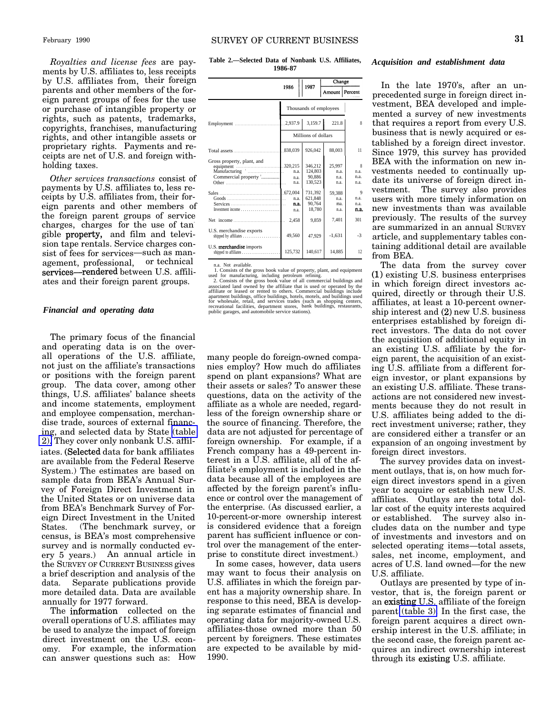**Table 2.—Selected Data of Nonbank U.S. Affiliates, 1986-87**

| ments by U.S. affiliates to, less receipts |            |
|--------------------------------------------|------------|
| by U.S. affiliates from, their foreign     |            |
| parents and other members of the for-      |            |
| eign parent groups of fees for the use     |            |
| or purchase of intangible property or      |            |
| rights, such as patents, trademarks,       | F          |
| copyrights, franchises, manufacturing      |            |
| rights, and other intangible assets or     |            |
| proprietary rights. Payments and re-       | T          |
| ceipts are net of U.S. and foreign with-   | $\epsilon$ |
| holding taxes.                             |            |
| Other services transactions consist of     |            |

*Royalties and license fees* are pay-

*Other services transactions* consist of payments by U.S. affiliates to, less receipts by U.S. affiliates from, their foreign parents and other members of the foreign parent groups of service charges, charges for the use of tangible property, and film and television tape rentals. Service charges consist of fees for services—such as management, professional, or technical services-rendered between U.S. affiliates and their foreign parent groups.

#### *Financial and operating data*

The primary focus of the financial and operating data is on the overall operations of the U.S. affiliate, not just on the affiliate's transactions or positions with the foreign parent group. The data cover, among other things, U.S. affiliates' balance sheets and income statements, employment and employee compensation, merchandise trade, sources of external financing, and selected data by State (table 2). They cover only nonbank U.S. affiliates. (Selected data for bank affiliates are available from the Federal Reserve System.) The estimates are based on sample data from BEA's Annual Survey of Foreign Direct Investment in the United States or on universe data from BEA's Benchmark Survey of Foreign Direct Investment in the United States. (The benchmark survey, or census, is BEA's most comprehensive survey and is normally conducted every 5 years.) An annual article in the SURVEY OF CURRENT BUSINESS gives a brief description and analysis of the data. Separate publications provide more detailed data. Data are available annually for 1977 forward.

The information collected on the overall operations of U.S. affiliates may be used to analyze the impact of foreign direct investment on the U.S. economy. For example, the information can answer questions such as: How

|                                                                                   |                                  |                                         | Change                         |                                                   |
|-----------------------------------------------------------------------------------|----------------------------------|-----------------------------------------|--------------------------------|---------------------------------------------------|
|                                                                                   | 1986                             | 1987                                    | Amount   Percent               |                                                   |
|                                                                                   |                                  | Thousands of employees                  |                                |                                                   |
| Employment                                                                        | 2.937.9                          | 3.159.7                                 | 221.8                          | 8                                                 |
|                                                                                   |                                  | Millions of dollars                     |                                |                                                   |
|                                                                                   | 838.039                          | 926.042                                 | 88,003                         | 11                                                |
| Gross property, plant, and<br>equipment<br>Manufacturing<br>Commercial property 2 | .320.215<br>n.a.<br>n.a.<br>n.a. | 346.212<br>124,803<br>90.886<br>130.523 | 25.997<br>n.a.<br>n.a.<br>n.a. | $\boldsymbol{\mathsf{R}}$<br>n.a.<br>n.a.<br>n.a. |
| Sales 672,004                                                                     | n.a.<br>n.a.<br>n.a.             | 731.392<br>621.848<br>90.764<br>18.780  | 59.388<br>n.a.<br>ma.<br>n.a.  | 9<br>n.a.<br>n.a.<br>n.a.                         |
|                                                                                   | 2,458                            | 9,859                                   | 7.401                          | 301                                               |
| U.S. merchandise exports<br>shipped by affiliates $\ldots \ldots \ldots$          | 49.560                           | 47.929                                  | $-1.631$                       | $-3$                                              |
| U.S. merchandise imports                                                          | 125.732                          | 140.617                                 | 14.885                         | 12                                                |

n.a. Not available.

1. Consists of the gross book value of property, plant, and equipment<br>used for manufacturing, including petroleum refining.<br>2. Consists of the gross book value of all commercial buildings and<br>associated land owned by the a

many people do foreign-owned companies employ? How much do affiliates spend on plant expansions? What are their assets or sales? To answer these questions, data on the activity of the affiliate as a whole are needed, regardless of the foreign ownership share or the source of financing. Therefore, the data are not adjusted for percentage of foreign ownership. For example, if a French company has a 49-percent interest in a U.S. affiliate, all of the affiliate's employment is included in the data because all of the employees are affected by the foreign parent's influence or control over the management of the enterprise. (As discussed earlier, a 10-percent-or-more ownership interest is considered evidence that a foreign parent has sufficient influence or control over the management of the enterprise to constitute direct investment.)

In some cases, however, data users may want to focus their analysis on U.S. affiliates in which the foreign parent has a majority ownership share. In response to this need, BEA is developing separate estimates of financial and operating data for majority-owned U.S. affiliates-those owned more than 50 percent by foreigners. These estimates are expected to be available by mid-1990.

#### *Acquisition and establishment data*

In the late 1970's, after an unprecedented surge in foreign direct investment, BEA developed and implemented a survey of new investments that requires a report from every U.S. business that is newly acquired or established by a foreign direct investor. Since 1979, this survey has provided BEA with the information on new investments needed to continually update its universe of foreign direct investment. The survey also provides users with more timely information on new investments than was available previously. The results of the survey are summarized in an annual SURVEY article, and supplementary tables containing additional detail are available from BEA.

The data from the survey cover (1.) existing U.S. business enterprises in which foreign direct investors acquired, directly or through their U.S. affiliates, at least a 10-percent ownership interest and (Z) new U.S. business enterprises established by foreign direct investors. The data do not cover the acquisition of additional equity in an existing U.S. affiliate by the foreign parent, the acquisition of an existing U.S. affiliate from a different foreign investor, or plant expansions by an existing U.S. affiliate. These transactions are not considered new investments because they do not result in U.S. affiliates being added to the direct investment universe; rather, they are considered either a transfer or an expansion of an ongoing investment by foreign direct investors.

The survey provides data on investment outlays, that is, on how much foreign direct investors spend in a given year to acquire or establish new U.S. affiliates. Outlays are the total dollar cost of the equity interests acquired or established. The survey also includes data on the number and type of investments and investors and on selected operating items—total assets, sales, net income, employment, and acres of U.S. land owned—for the new U.S. affiliate.

Outlays are presented by type of investor, that is, the foreign parent or an existing U.S. affiliate of the foreign parent [\(table 3\).](#page-3-0) In the first case, the foreign parent acquires a direct ownership interest in the U.S. affiliate; in the second case, the foreign parent acquires an indirect ownership interest through its existing U.S. affiliate.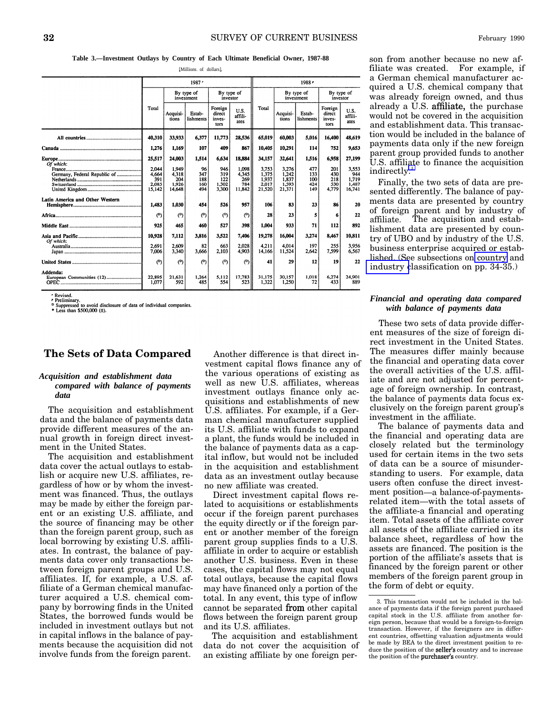**Table 3.—Investment Outlays by Country of Each Ultimate Beneficial Owner, 1987-88**

[Millions of dollars]

<span id="page-3-0"></span>

|                                       |                                          |                                          | 1987r                          |                                     |                                        |                                            |                                            | 1988 -                          |                                     |                                          |
|---------------------------------------|------------------------------------------|------------------------------------------|--------------------------------|-------------------------------------|----------------------------------------|--------------------------------------------|--------------------------------------------|---------------------------------|-------------------------------------|------------------------------------------|
|                                       |                                          |                                          | By type of<br>investment       | By type of<br>investor              |                                        |                                            | By type of<br>investment                   |                                 | By type of<br>investor              |                                          |
|                                       | Total                                    | Acquisi-<br>tions                        | Estab-<br>lishments            | Foreign<br>direct<br>inves-<br>tors | U.S.<br>affili-<br>ates                | Total                                      | Acquisi-<br>tions                          | Estab-<br>lishments             | Foreign<br>direct<br>inves-<br>tors | U.S.<br>affili-<br>ates                  |
|                                       | 40.310                                   | 33.933                                   | 6.377                          | 11,773                              | 28,536                                 | 65.019                                     | 60,003                                     | 5,016                           | 16,400                              | 48,619                                   |
|                                       | 1,276                                    | 1,169                                    | 107                            | 409                                 | 867                                    | 10,405                                     | 10,291                                     | 114                             | 752                                 | 9.653                                    |
| Of which:                             | 25,517                                   | 24,003                                   | 1,514                          | 6,634                               | 18,884                                 | 34,157                                     | 32,641                                     | 1,516                           | 6,958                               | 27,199                                   |
| Germany, Federal Republic of          | 2.044<br>4.664<br>391<br>2.085<br>15.142 | 1.949<br>4.318<br>204<br>1.926<br>14.648 | 96<br>347<br>188<br>160<br>494 | 946<br>319<br>122<br>1.302<br>3,300 | 1.098<br>4.345<br>269<br>784<br>11.842 | 3.753<br>1.375<br>1.937<br>2.017<br>21,520 | 3.276<br>1.242<br>1,837<br>1.593<br>21.371 | 477<br>133<br>100<br>424<br>149 | 201<br>430<br>218<br>530<br>4,779   | 3.553<br>944<br>1.719<br>1.487<br>16.741 |
| Latin America and Other Western       | 1.483                                    | 1.030                                    | 454                            | 526                                 | 957                                    | 106                                        | 83                                         | 23                              | 86                                  | 20                                       |
|                                       | (2)                                      | (2)                                      | (2)                            | (ግ                                  | (ግ                                     | 28                                         | 23                                         |                                 | 6                                   | 22                                       |
|                                       | 925                                      | 465                                      | 460                            | 527                                 | 398                                    | 1.004                                      | 933                                        | 71                              | 112                                 | 892                                      |
|                                       | 10,928                                   | 7,112                                    | 3.816                          | 3,522                               | 7.406                                  | 19,278                                     | 16,004                                     | 3,274                           | 8,467                               | 10.811                                   |
| Of which:                             | 2.691<br>7.006                           | 2,609<br>3.340                           | 82<br>3.666                    | 663<br>2,103                        | 2.028<br>4.903                         | 4.211<br>14.166                            | 4.014<br>11,524                            | 197<br>2.642                    | 255<br>7.599                        | 3.956<br>6.567                           |
|                                       | (2)                                      | (9)                                      | (ግ                             | (ግ                                  | (ግ                                     | 41                                         | 29                                         | 12                              | 19                                  | 22                                       |
| Addenda:<br>European Communities (12) | 22,895<br>1.077                          | 21.631<br>592                            | 1.264<br>485                   | 5,112<br>554                        | 17.783<br>523                          | 31.175<br>1.322                            | 30.157<br>1.250                            | 1.018<br>72                     | 6.274<br>433                        | 24,901<br>889                            |

Revised

The revised.<br>
Preliminary.<br>
P Suppressed to avoid disclosure of data of individual companies.<br>
The Less than \$500,000 (±).

## **The Sets of Data Compared**

#### *Acquisition and establishment data compared with balance of payments data*

The acquisition and establishment data and the balance of payments data provide different measures of the annual growth in foreign direct investment in the United States.

The acquisition and establishment data cover the actual outlays to establish or acquire new U.S. affiliates, regardless of how or by whom the investment was financed. Thus, the outlays may be made by either the foreign parent or an existing U.S. affiliate, and the source of financing may be other than the foreign parent group, such as local borrowing by existing U.S. affiliates. In contrast, the balance of payments data cover only transactions between foreign parent groups and U.S. affiliates. If, for example, a U.S. affiliate of a German chemical manufacturer acquired a U.S. chemical company by borrowing finds in the United States, the borrowed funds would be included in investment outlays but not in capital inflows in the balance of payments because the acquisition did not involve funds from the foreign parent.

Another difference is that direct investment capital flows finance any of the various operations of existing as well as new U.S. affiliates, whereas investment outlays finance only acquisitions and establishments of new U.S. affiliates. For example, if a German chemical manufacturer supplied its U.S. affiliate with funds to expand a plant, the funds would be included in the balance of payments data as a capital inflow, but would not be included in the acquisition and establishment data as an investment outlay because no new affiliate was created.

Direct investment capital flows related to acquisitions or establishments occur if the foreign parent purchases the equity directly or if the foreign parent or another member of the foreign parent group supplies finds to a U.S. affiliate in order to acquire or establish another U.S. business. Even in these cases, the capital flows may not equal total outlays, because the capital flows may have financed only a portion of the total. In any event, this type of inflow cannot be separated from other capital flows between the foreign parent group and its U.S. affiliates.

The acquisition and establishment data do not cover the acquisition of an existing affiliate by one foreign person from another because no new affiliate was created. For example, if a German chemical manufacturer acquired a U.S. chemical company that was already foreign owned, and thus already a U.S. affliate, the purchase would not be covered in the acquisition and establishment data. This transaction would be included in the balance of payments data only if the new foreign parent group provided funds to another U.S. affiliate to finance the acquisition indirectly.<sup>3</sup>

Finally, the two sets of data are presented differently. The balance of payments data are presented by country of foreign parent and by industry of affiliate. The acquisition and establishment data are presented by country of UBO and by industry of the U.S. business enterprise acquired or established. (See subsections on [country](#page-5-0) and [industry c](#page-6-0)lassification on pp. 34-35.)

#### *Financial and operating data compared with balance of payments data*

These two sets of data provide different measures of the size of foreign direct investment in the United States. The measures differ mainly because the financial and operating data cover the overall activities of the U.S. affiliate and are not adjusted for percentage of foreign ownership. In contrast, the balance of payments data focus exclusively on the foreign parent group's investment in the affiliate.

The balance of payments data and the financial and operating data are closely related but the terminology used for certain items in the two sets of data can be a source of misunderstanding to users. For example, data users often confuse the direct investment position—a balance-of-paymentsrelated item—with the total assets of the affiliate-a financial and operating item. Total assets of the affiliate cover all assets of the affiliate carried in its balance sheet, regardless of how the assets are financed. The position is the portion of the affiliate's assets that is financed by the foreign parent or other members of the foreign parent group in the form of debt or equity.

<sup>3.</sup> This transaction would not be included in the balance of payments data if the foreign parent purchased capital stock in the U.S. affiliate from another foreign person, because that would be a foreign-to-foreign transaction. However, if the foreigners are in different countries, offsetting valuation adjustments would be made by BEA to the direct investment position to reduce the position of the seller's country and to increase the position of the purchaser's country.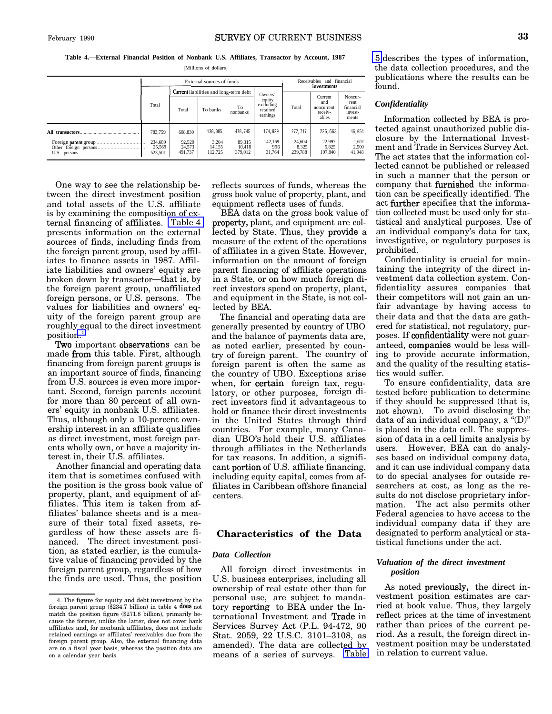<span id="page-4-0"></span>**Table 4.—External Financial Position of Nonbank U.S. Affiliates, Transactor by Account, 1987**

[Millions of dollars]

| External sources of funds               |                                                                               |                                       |                                        |                                                        | Receivables and financial<br>investments |                                                  |                                                  |
|-----------------------------------------|-------------------------------------------------------------------------------|---------------------------------------|----------------------------------------|--------------------------------------------------------|------------------------------------------|--------------------------------------------------|--------------------------------------------------|
| Total                                   | Current liabilities and long-term debt<br>To<br>Total<br>To banks<br>nonbanks |                                       |                                        | Owners'<br>equity<br>excluding<br>retained<br>earnings | Total                                    | Current<br>and<br>noncurrent<br>receiv-<br>ables | Noncur-<br>rent<br>financial<br>invest-<br>ments |
| 783,759<br>234.689<br>25,569<br>523.501 | 608,830<br>92.520<br>24,573<br>491.737                                        | 130,085<br>3.204<br>14,155<br>112,725 | 478,745<br>89,315<br>10.418<br>379,012 | 174,929<br>142.169<br>996<br>31,764                    | 272,717<br>24.604<br>8,325<br>239,788    | 226,663<br>22.997<br>5,825<br>197,840            | 46,054<br>1,607<br>2,500<br>41.948               |

One way to see the relationship between the direct investment position and total assets of the U.S. affiliate is by examining the composition of external financing of affiliates. Table 4 presents information on the external sources of finds, including finds from the foreign parent group, used by affiliates to finance assets in 1987. Affiliate liabilities and owners' equity are broken down by transactor—that is, by the foreign parent group, unaffiliated foreign persons, or U.S. persons. The values for liabilities and owners' equity of the foreign parent group are roughly equal to the direct investment position.<sup>4</sup>

Two important observations can be made from this table. First, although financing from foreign parent groups is an important source of finds, financing from U.S. sources is even more important. Second, foreign parents account for more than 80 percent of all owners' equity in nonbank U.S. affiliates. Thus, although only a 10-percent ownership interest in an affiliate qualifies as direct investment, most foreign parents wholly own, or have a majority interest in, their U.S. affiliates.

Another financial and operating data item that is sometimes confused with the position is the gross book value of property, plant, and equipment of affiliates. This item is taken from affiliates' balance sheets and is a measure of their total fixed assets, regardless of how these assets are financed. The direct investment position, as stated earlier, is the cumulative value of financing provided by the foreign parent group, regardless of how the finds are used. Thus, the position reflects sources of funds, whereas the gross book value of property, plant, and equipment reflects uses of funds.

BEA data on the gross book value of propetiy, plant, and equipment are collected by State. Thus, they provide a measure of the extent of the operations of affiliates in a given State. However, information on the amount of foreign parent financing of affiliate operations in a State, or on how much foreign direct investors spend on property, plant, and equipment in the State, is not collected by BEA.

The financial and operating data are generally presented by country of UBO and the balance of payments data are, as noted earlier, presented by country of foreign parent. The country of foreign parent is often the same as the country of UBO. Exceptions arise when, for certain foreign tax, regulatory, or other purposes, foreign direct investors find it advantageous to hold or finance their direct investments in the United States through third countries. For example, many Canadian UBO'S hold their U.S. affiliates through affiliates in the Netherlands for tax reasons. In addition, a significant portion of U.S. affiliate financing, including equity capital, comes from affiliates in Caribbean offshore financial centers.

# **Characteristics of the Data**

## *Data Collection*

All foreign direct investments in U.S. business enterprises, including all ownership of real estate other than for personal use, are subject to mandatory reporting to BEA under the International Investment and Trade in Services Survey Act (P.L. 94-472, 90 Stat. 2059, 22 U.S.C. 3101–3108, as amended). The data are collected by means of a series of surveys. [Table](#page-5-0)

[5](#page-5-0) describes the types of information, the data collection procedures, and the publications where the results can be found.

## *Confidentiality*

Information collected by BEA is protected against unauthorized public disclosure by the International Investment and Trade in Services Survey Act. The act states that the information collected cannot be published or released in such a manner that the person or company that fiwnished the information can be specifically identified. The act **further** specifies that the information collected must be used only for statistical and analytical purposes. Use of an individual company's data for tax, investigative, or regulatory purposes is prohibited.

Confidentiality is crucial for maintaining the integrity of the direct investment data collection system. Confidentiality assures companies that their competitors will not gain an unfair advantage by having access to their data and that the data are gathered for statistical, not regulatory, purposes. If confidentiality were not guaranteed, companies would be less willing to provide accurate information, and the quality of the resulting statistics would suffer.

To ensure confidentiality, data are tested before publication to determine if they should be suppressed (that is, not shown). To avoid disclosing the data of an individual company, a "(D)" is placed in the data cell. The suppression of data in a cell limits analysis by users. However, BEA can do analyses based on individual company data, and it can use individual company data to do special analyses for outside researchers at cost, as long as the results do not disclose proprietary information. The act also permits other Federal agencies to have access to the individual company data if they are designated to perform analytical or statistical functions under the act.

#### *Valuation of the direct investment position*

As noted previously, the direct investment position estimates are carried at book value. Thus, they largely reflect prices at the time of investment rather than prices of the current period. As a result, the foreign direct investment position may be understated in relation to current value.

<sup>4.</sup> The figure for equity and debt investment by the foreign parent group  $(\$234.7$  billion) in table 4 does not match the position figure (\$271.8 billion), primarily because the former, unlike the latter, does not cover bank affiliates and, for nonbank affiliates, does not include retained earnings or affiliates' receivables due from the foreign parent group. Also, the external financing data are on a fiscal year basis, whereas the position data are on a calendar year basis.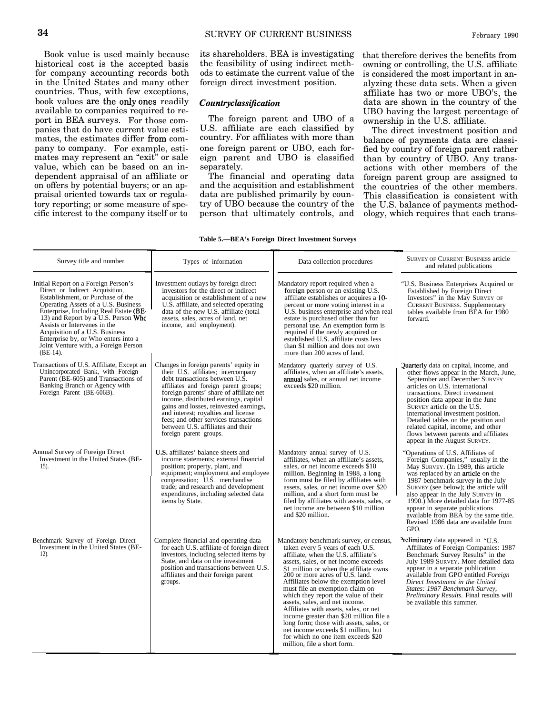<span id="page-5-0"></span>Book value is used mainly because historical cost is the accepted basis for company accounting records both in the United States and many other countries. Thus, with few exceptions, book values are the only ones readily available to companies required to report in BEA surveys. For those companies that do have current value estimates, the estimates differ from company to company. For example, estimates may represent an "exit" or sale value, which can be based on an independent appraisal of an affiliate or on offers by potential buyers; or an appraisal oriented towards tax or regulatory reporting; or some measure of specific interest to the company itself or to

its shareholders. BEA is investigating the feasibility of using indirect methods to estimate the current value of the foreign direct investment position.

## $Country classification$

The foreign parent and UBO of a U.S. affiliate are each classified by country. For affiliates with more than one foreign parent or UBO, each foreign parent and UBO is classified separately.

The financial and operating data and the acquisition and establishment data are published primarily by country of UBO because the country of the person that ultimately controls, and that therefore derives the benefits from owning or controlling, the U.S. affiliate is considered the most important in analyzing these data sets. When a given affiliate has two or more UBO'S, the data are shown in the country of the UBO having the largest percentage of ownership in the U.S. affiliate.

The direct investment position and balance of payments data are classified by country of foreign parent rather than by country of UBO. Any transactions with other members of the foreign parent group are assigned to the countries of the other members. This classification is consistent with the U.S. balance of payments methodology, which requires that each trans-

#### **Table 5.—BEA's Foreign Direct Investment Surveys**

| Survey title and number                                                                                                                                                                                                                                                                                                                                                                              | Types of information                                                                                                                                                                                                                                                                                                                                                                                                                 | Data collection procedures                                                                                                                                                                                                                                                                                                                                                                                                                                                                                                                                                                                                              | <b>SURVEY OF CURRENT BUSINESS article</b><br>and related publications                                                                                                                                                                                                                                                                                                                                                                                      |
|------------------------------------------------------------------------------------------------------------------------------------------------------------------------------------------------------------------------------------------------------------------------------------------------------------------------------------------------------------------------------------------------------|--------------------------------------------------------------------------------------------------------------------------------------------------------------------------------------------------------------------------------------------------------------------------------------------------------------------------------------------------------------------------------------------------------------------------------------|-----------------------------------------------------------------------------------------------------------------------------------------------------------------------------------------------------------------------------------------------------------------------------------------------------------------------------------------------------------------------------------------------------------------------------------------------------------------------------------------------------------------------------------------------------------------------------------------------------------------------------------------|------------------------------------------------------------------------------------------------------------------------------------------------------------------------------------------------------------------------------------------------------------------------------------------------------------------------------------------------------------------------------------------------------------------------------------------------------------|
| Initial Report on a Foreign Person's<br>Direct or Indirect Acquisition,<br>Establishment, or Purchase of the<br>Operating Assets of a U.S. Business<br>Enterprise, Including Real Estate (BE-<br>13) and Report by a U.S. Person Who<br>Assists or Intervenes in the<br>Acquisition of a U.S. Business<br>Enterprise by, or Who enters into a<br>Joint Venture with, a Foreign Person<br>$(BE-14)$ . | Investment outlays by foreign direct<br>investors for the direct or indirect<br>acquisition or establishment of a new<br>U.S. affiliate, and selected operating<br>data of the new U.S. affiliate (total<br>assets, sales, acres of land, net<br>income, and employment).                                                                                                                                                            | Mandatory report required when a<br>foreign person or an existing U.S.<br>affiliate establishes or acquires a 10-<br>percent or more voting interest in a<br>U.S. business enterprise and when real<br>estate is purchased other than for<br>personal use. An exemption form is<br>required if the newly acquired or<br>established U.S. affiliate costs less<br>than \$1 million and does not own<br>more than 200 acres of land.                                                                                                                                                                                                      | "U.S. Business Enterprises Acquired or<br><b>Established by Foreign Direct</b><br>Investors" in the May SURVEY OF<br><b>CURRENT BUSINESS. Supplementary</b><br>tables available from BEA for 1980<br>forward.                                                                                                                                                                                                                                              |
| Transactions of U.S. Affiliate, Except an<br>Unincorporated Bank, with Foreign<br>Parent (BE-605) and Transactions of<br>Banking Branch or Agency with<br>Foreign Parent (BE-606B).                                                                                                                                                                                                                  | Changes in foreign parents' equity in<br>their U.S. affiliates; intercompany<br>debt transactions between U.S.<br>affiliates and foreign parent groups;<br>foreign parents' share of affiliate net<br>income, distributed earnings, capital<br>gains and losses, reinvested earnings,<br>and interest; royalties and license<br>fees; and other services transactions<br>between U.S. affiliates and their<br>foreign parent groups. | Mandatory quarterly survey of U.S.<br>affiliates, when an affiliate's assets,<br><b>annual</b> sales, or annual net income<br>exceeds \$20 million.                                                                                                                                                                                                                                                                                                                                                                                                                                                                                     | <b>Quarterly</b> data on capital, income, and<br>other flows appear in the March, June,<br>September and December SURVEY<br>articles on U.S. international<br>transactions. Direct investment<br>position data appear in the June<br>SURVEY article on the U.S.<br>international investment position.<br>Detailed tables on the position and<br>related capital, income, and other<br>flows between parents and affiliates<br>appear in the August SURVEY. |
| Annual Survey of Foreign Direct<br>Investment in the United States (BE-<br>15).                                                                                                                                                                                                                                                                                                                      | <b>U.S.</b> affiliates' balance sheets and<br>income statements: external financial<br>position; property, plant, and<br>equipment; employment and employee<br>compensation; U.S. merchandise<br>trade; and research and development<br>expenditures, including selected data<br>items by State.                                                                                                                                     | Mandatory annual survey of U.S.<br>affiliates, when an affiliate's assets,<br>sales, or net income exceeds \$10<br>million. Beginning in 1988, a long<br>form must be filed by affiliates with<br>assets, sales, or net income over \$20<br>million, and a short form must be<br>filed by affiliates with assets, sales, or<br>net income are between \$10 million<br>and \$20 million.                                                                                                                                                                                                                                                 | "Operations of U.S. Affiliates of<br>Foreign Companies," usually in the<br>May SURVEY. (In 1989, this article<br>was replaced by an <b>article</b> on the<br>1987 benchmark survey in the July<br>SURVEY (see below); the article will<br>also appear in the July SURVEY in<br>1990.) More detailed data for 1977-85<br>appear in separate publications<br>available from BEA by the same title.<br>Revised 1986 data are available from<br>GPO.           |
| Benchmark Survey of Foreign Direct<br>Investment in the United States (BE-<br>$12)$ .                                                                                                                                                                                                                                                                                                                | Complete financial and operating data<br>for each U.S. affiliate of foreign direct<br>investors, including selected items by<br>State, and data on the investment<br>position and transactions between U.S.<br>affiliates and their foreign parent<br>groups.                                                                                                                                                                        | Mandatory benchmark survey, or census,<br>taken every 5 years of each U.S.<br>affiliate, when the U.S. affiliate's<br>assets, sales, or net income exceeds<br>\$1 million or when the affiliate owns<br>200 or more acres of U.S. land.<br>Affiliates below the exemption level<br>must file an exemption claim on<br>which they report the value of their<br>assets, sales, and net income.<br>Affiliates with assets, sales, or net<br>income greater than \$20 million file a<br>long form; those with assets, sales, or<br>net income exceeds \$1 million, but<br>for which no one item exceeds \$20<br>million, file a short form. | Preliminary data appeared in "U.S.<br>Affiliates of Foreign Companies: 1987<br>Benchmark Survey Results" in the<br>July 1989 SURVEY. More detailed data<br>appear in a separate publication<br>available from GPO entitled Foreign<br>Direct Investment in the United<br>States: 1987 Benchmark Survey,<br>Preliminary Results. Final results will<br>be available this summer.                                                                            |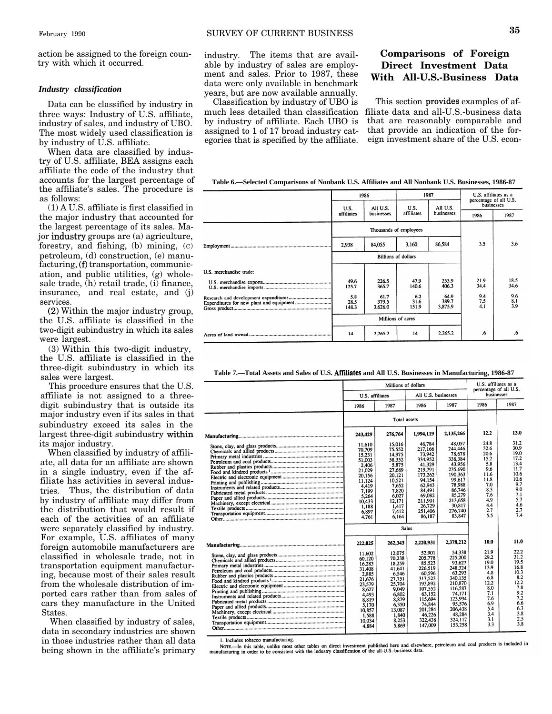<span id="page-6-0"></span>action be assigned to the foreign country with which it occurred.

## *Industry classification*

Data can be classified by industry in three ways: Industry of U.S. affiliate, industry of sales, and industry of UBO. The most widely used classification is by industry of U.S. affiliate.

When data are classified by industry of U.S. affiliate, BEA assigns each affiliate the code of the industry that accounts for the largest percentage of the affiliate's sales. The procedure is as follows:

(1) A U.S. affiliate is first classified in the major industry that accounted for the largest percentage of its sales. Ma $j$  ior industry groups are  $(a)$  agriculture, forestry, and fishing, (b) mining, (C) petroleum, (d) construction, (e) manu $factoring, (f)$  transportation, communication, and public utilities, (g) wholesale trade,  $(h)$  retail trade,  $(i)$  finance, insurance, and real estate, and (j) services.

*(Z)* Within the major industry group, the U.S. affiliate is classified in the two-digit subindustry in which its sales were largest.

(3) Within this two-digit industry, the U.S. affiliate is classified in the three-digit subindustry in which its sales were largest.

This procedure ensures that the U.S. affiliate is not assigned to a threedigit subindustry that is outside its major industry even if its sales in that subindustry exceed its sales in the largest three-digit subindustry within its major industry.

When classified by industry of affiliate, all data for an affiliate are shown in a single industry, even if the affiliate has activities in several industries. Thus, the distribution of data by industry of affiliate may differ from the distribution that would result if each of the activities of an affiliate were separately classified by industry. For example, U.S. affiliates of many foreign automobile manufacturers are classified in wholesale trade, not in transportation equipment manufacturing, because most of their sales result from the wholesale distribution of imported cars rather than from sales of cars they manufacture in the United States.

When classified by industry of sales, data in secondary industries are shown in those industries rather than all data being shown in the affiliate's primary industry. The items that are available by industry of sales are employment and sales. Prior to 1987, these data were only available in benchmark years, but are now available annually.

egories that is specified by the affiliate.

# **Comparisons of Foreign Direct Investment Data With All-U.S.-Business Data**

Classification by industry of UBO is This section provides examples of afmuch less detailed than classification filiate data and all-U.S.-business data by industry of affiliate. Each UBO is that are reasonably comparable and assigned to 1 of 17 broad industry cat-<br>that provide an indication of the forassigned to 1 of 17 broad industry cat-<br>that provide an indication of the for-<br>egories that is specified by the affiliate. eign investment share of the U.S. econ-

**Table 6.—Selected Comparisons of Nonbank U.S. Affiliates and All Nonbank U.S. Businesses, 1986-87**

|                         | 1986                 |                          | 1987                       |                          | percentage of all U.S. | U.S. affiliates as a |            |  |
|-------------------------|----------------------|--------------------------|----------------------------|--------------------------|------------------------|----------------------|------------|--|
|                         |                      | All U.S.                 |                            | U.S.<br>U.S.             | All U.S.               |                      | businesses |  |
|                         | affiliates           | businesses               | affiliates                 | businesses               | 1986                   | 1987                 |            |  |
|                         |                      |                          | Thousands of employees     |                          |                        |                      |            |  |
|                         | 2,938                | 84,055                   | 3,160                      | 86,584                   | 3.5                    | 3.6                  |            |  |
|                         |                      |                          | <b>Billions of dollars</b> |                          |                        |                      |            |  |
| U.S. merchandise trade: |                      |                          |                            |                          |                        |                      |            |  |
|                         | 49.6<br>125.7        | 226.5<br>365.7           | 47.9<br>140.6              | 253.9<br>406.3           | 21.9<br>34.4           | 18.5<br>34.6         |            |  |
|                         | 5.8<br>28.5<br>148.3 | 61.7<br>379.5<br>3,626.0 | 6.2<br>31.6<br>151.9       | 64.9<br>389.7<br>3,875.9 | 9.4<br>7.5<br>4.1      | 9.6<br>8.1<br>3.9    |            |  |
|                         | Millions of acres    |                          |                            |                          |                        |                      |            |  |
|                         | 14                   | 2.265.2                  | 14                         | 2,265.2                  | .6                     | .6                   |            |  |

**Table 7.—Total Assets and Sales of U.S. Affiliates and All U.S. Businesses in Manufacturing, 1986-87**

| Millions of dollars                                                                                                                |                                                                                                                                             |                                                                                                                                                          |                                                                                                                                                          | U.S. affiliates as a<br>percentage of all U.S.                                                              |                                                                                                               |
|------------------------------------------------------------------------------------------------------------------------------------|---------------------------------------------------------------------------------------------------------------------------------------------|----------------------------------------------------------------------------------------------------------------------------------------------------------|----------------------------------------------------------------------------------------------------------------------------------------------------------|-------------------------------------------------------------------------------------------------------------|---------------------------------------------------------------------------------------------------------------|
| U.S. affiliates                                                                                                                    |                                                                                                                                             | All U.S. businesses                                                                                                                                      |                                                                                                                                                          | businesses                                                                                                  |                                                                                                               |
| 1986                                                                                                                               | 1987                                                                                                                                        | 1986                                                                                                                                                     | 1987                                                                                                                                                     | 1986                                                                                                        | 1987                                                                                                          |
|                                                                                                                                    | Total assets                                                                                                                                |                                                                                                                                                          |                                                                                                                                                          |                                                                                                             |                                                                                                               |
| 243.429                                                                                                                            | 276,764                                                                                                                                     | 1,994,119                                                                                                                                                | 2.135.266                                                                                                                                                | 12.2                                                                                                        | 13.0                                                                                                          |
| 11.610<br>70,709<br>15.231<br>51,003<br>2,406<br>21.029<br>20,156<br>11.124<br>4.419<br>7.199<br>5,264<br>10,433<br>1.188<br>6.897 | 15.016<br>75.552<br>14.975<br>58,352<br>5,875<br>27.689<br>20.121<br>10.521<br>7.652<br>7.820<br>6.027<br>12.171<br>1.417<br>7.412<br>6.164 | 46,784<br>217,166<br>73.942<br>334,952<br>41.329<br>219.791<br>173.262<br>94.154<br>62.943<br>84,491<br>69.082<br>211,901<br>26,729<br>251,406<br>86.187 | 48.057<br>244,446<br>78.678<br>338,384<br>43,956<br>235.690<br>190.363<br>99,617<br>78,988<br>86,746<br>85,279<br>213,658<br>30,817<br>276,740<br>83,847 | 24.8<br>32.6<br>20.6<br>15.2<br>5.8<br>9.6<br>11.6<br>11.8<br>7.0<br>8.5<br>7.6<br>4.9<br>4.4<br>2.7<br>5.5 | 31.2<br>30.9<br>19.0<br>17.2<br>13.4<br>11.7<br>10.6<br>10.6<br>9.7<br>9.0<br>7.1<br>5.7<br>4.6<br>2.7<br>7.4 |
| 4,761                                                                                                                              |                                                                                                                                             |                                                                                                                                                          |                                                                                                                                                          |                                                                                                             |                                                                                                               |
|                                                                                                                                    | <b>Sales</b>                                                                                                                                |                                                                                                                                                          |                                                                                                                                                          |                                                                                                             |                                                                                                               |
| 222,025                                                                                                                            | 262,343                                                                                                                                     | 2,220,931                                                                                                                                                | 2,378,212                                                                                                                                                | 10.0                                                                                                        | 11.0                                                                                                          |
| 11.602<br>60,120<br>16,283<br>31.408<br>2,885<br>21,676<br>23.579<br>8.627<br>4,493<br>8,819<br>5,170<br>10.857<br>1,588           | 12.075<br>70,238<br>18,259<br>41,641<br>6,546<br>27,751<br>25,704<br>9.049<br>6,802<br>8,879<br>6.350<br>13,087<br>1.840                    | 52.901<br>205.778<br>85.523<br>226.519<br>60.596<br>317.523<br>193.892<br>107.552<br>63.152<br>115,694<br>74,844<br>201,284<br>46.226                    | 54,338<br>225.200<br>93.627<br>248,324<br>63.293<br>340,135<br>210.870<br>116,587<br>74.171<br>123,994<br>95.576<br>206,438<br>48,284                    | 21.9<br>29.2<br>19.0<br>13.9<br>4.8<br>6.8<br>12.2<br>8.0<br>7.1<br>7.6<br>6.9<br>5.4<br>3.4                | 22.2<br>31.2<br>19.5<br>16.8<br>10.3<br>8.2<br>12.2<br>7.8<br>9.2<br>7.2<br>6.6<br>6.3<br>3.8                 |
| 10,034<br>4.884                                                                                                                    | 8,253<br>5.869                                                                                                                              | 322,438<br>147,009                                                                                                                                       | 324.117<br>153,258                                                                                                                                       | 3.1<br>3.3                                                                                                  | 2.5<br>3.8                                                                                                    |

1. Includes tobacco manufacturing.

1. Includes to bacco manufacturing.<br>Nore, In this table, unlike most other tables on direct investment published here and elsewhere, petroleum and coal products is included in<br>manufacturing in order to be consistent with t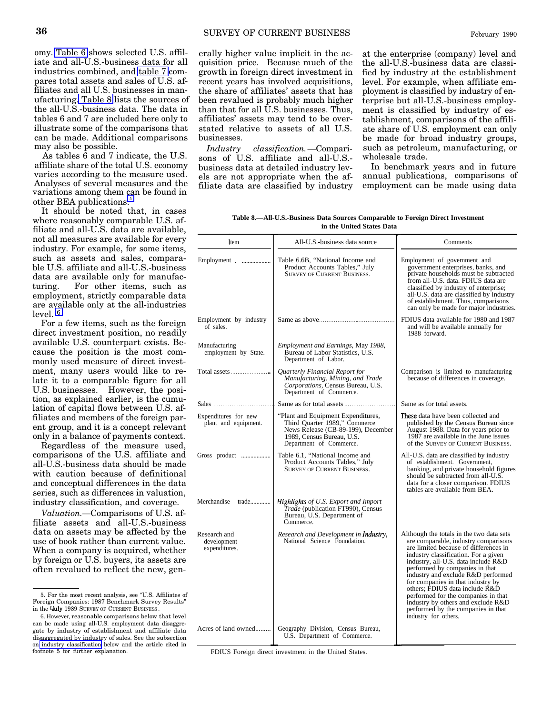omy. [Table 6](#page-6-0) shows selected U.S. affiliate and all-U.S.-business data for all industries combined, and [table 7](#page-6-0) compares total assets and sales of U.S. affiliates and all U.S. businesses in manufacturing. Table 8 lists the sources of the all-U.S.-business data. The data in tables 6 and 7 are included here only to illustrate some of the comparisons that can be made. Additional comparisons may also be possible.

As tables 6 and 7 indicate, the U.S. affiliate share of the total U.S. economy varies according to the measure used. Analyses of several measures and the variations among them can be found in other BEA publications.<sup>5</sup>

It should be noted that, in cases where reasonably comparable U.S. affiliate and all-U.S. data are available, not all measures are available for every industry. For example, for some items, such as assets and sales, comparable U.S. affiliate and all-U.S.-business data are available only for manufacturing. For other items, such as employment, strictly comparable data are available only at the all-industries level. G

For a few items, such as the foreign direct investment position, no readily available U.S. counterpart exists. Because the position is the most commonly used measure of direct investment, many users would like to relate it to a comparable figure for all U.S. businesses. However, the position, as explained earlier, is the cumulation of capital flows between U.S. affiliates and members of the foreign parent group, and it is a concept relevant only in a balance of payments context.

Regardless of the measure used, comparisons of the U.S. affiliate and all-U.S.-business data should be made with caution because of definitional and conceptual differences in the data series, such as differences in valuation, industry classification, and coverage.

*Valuation.—*Comparisons of U.S. affiliate assets and all-U.S.-business data on assets may be affected by the use of book rather than current value. When a company is acquired, whether by foreign or U.S. buyers, its assets are often revalued to reflect the new, generally higher value implicit in the acquisition price. Because much of the growth in foreign direct investment in recent years has involved acquisitions, the share of affiliates' assets that has been revalued is probably much higher than that for all U.S. businesses. Thus, affiliates' assets may tend to be overstated relative to assets of all U.S. businesses.

*Industry classification.*—Comparisons of U.S. affiliate and all-U.S. business data at detailed industry levels are not appropriate when the affiliate data are classified by industry

at the enterprise (company) level and the all-U.S.-business data are classified by industry at the establishment level. For example, when affiliate employment is classified by industry of enterprise but all-U.S.-business employment is classified by industry of establishment, comparisons of the affiliate share of U.S. employment can only be made for broad industry groups, such as petroleum, manufacturing, or wholesale trade.

In benchmark years and in future annual publications, comparisons of employment can be made using data

**Table 8.—All-U.S.-Business Data Sources Comparable to Foreign Direct Investment in the United States Data**

| Item                                         | All-U.S.-business data source                                                                                                                                     | Comments                                                                                                                                                                                                                                                                                                                                                                                                                                                                                           |
|----------------------------------------------|-------------------------------------------------------------------------------------------------------------------------------------------------------------------|----------------------------------------------------------------------------------------------------------------------------------------------------------------------------------------------------------------------------------------------------------------------------------------------------------------------------------------------------------------------------------------------------------------------------------------------------------------------------------------------------|
| Employment                                   | Table 6.6B, "National Income and<br>Product Accounts Tables," July<br><b>SURVEY OF CURRENT BUSINESS.</b>                                                          | Employment of government and<br>government enterprises, banks, and<br>private households must be subtracted<br>from all-U.S. data. FDIUS data are<br>classified by industry of enterprise;<br>all-U.S. data are classified by industry<br>of establishment. Thus, comparisons<br>can only be made for major industries.                                                                                                                                                                            |
| Employment by industry<br>of sales.          |                                                                                                                                                                   | FDIUS data available for 1980 and 1987<br>and will be available annually for<br>1988 forward.                                                                                                                                                                                                                                                                                                                                                                                                      |
| Manufacturing<br>employment by State.        | Employment and Earnings, May 1988,<br>Bureau of Labor Statistics, U.S.<br>Department of Labor.                                                                    |                                                                                                                                                                                                                                                                                                                                                                                                                                                                                                    |
|                                              | Quarterly Financial Report for<br>Manufacturing, Mining, and Trade<br>Corporations, Census Bureau, U.S.<br>Department of Commerce.                                | Comparison is limited to manufacturing<br>because of differences in coverage.                                                                                                                                                                                                                                                                                                                                                                                                                      |
|                                              |                                                                                                                                                                   | Same as for total assets.                                                                                                                                                                                                                                                                                                                                                                                                                                                                          |
| Expenditures for new<br>plant and equipment. | "Plant and Equipment Expenditures,<br>Third Quarter 1989," Commerce<br>News Release (CB-89-199), December<br>1989, Census Bureau, U.S.<br>Department of Commerce. | These data have been collected and<br>published by the Census Bureau since<br>August 1988. Data for years prior to<br>1987 are available in the June issues<br>of the SURVEY OF CURRENT BUSINESS.                                                                                                                                                                                                                                                                                                  |
| Gross product                                | Table 6.1, "National Income and<br>Product Accounts Tables," July<br><b>SURVEY OF CURRENT BUSINESS.</b>                                                           | All-U.S. data are classified by industry<br>of establishment. Government,<br>banking, and private household figures<br>should be subtracted from all-U.S.<br>data for a closer comparison. FDIUS<br>tables are available from BEA.                                                                                                                                                                                                                                                                 |
| Merchandise trade                            | <b>Highlights</b> of U.S. Export and Import<br>Trade (publication FT990), Census<br>Bureau, U.S. Department of<br>Commerce.                                       |                                                                                                                                                                                                                                                                                                                                                                                                                                                                                                    |
| Research and<br>development<br>expenditures. | Research and Development in <b>Industry</b> ,<br>National Science Foundation.                                                                                     | Although the totals in the two data sets<br>are comparable, industry comparisons<br>are limited because of differences in<br>industry classification. For a given<br>industry, all-U.S. data include R&D<br>performed by companies in that<br>industry and exclude R&D performed<br>for companies in that industry by<br>others; FDIUS data include R&D<br>performed for the companies in that<br>industry by others and exclude R&D<br>performed by the companies in that<br>industry for others. |
| Acres of land owned                          | Geography Division, Census Bureau,<br>U.S. Department of Commerce.                                                                                                |                                                                                                                                                                                                                                                                                                                                                                                                                                                                                                    |

FDIUS Foreign direct investment in the United States.

<sup>5.</sup> For the most recent analysis, see "U.S. Affiliates of Foreign Companies: 1987 Benchmark Survey Results" in the July 1989 SURVEY OF CURRENT BUSINESS.

<sup>6.</sup> However, reasonable comparisons below that level can be made using all-U.S. employment data disaggregate by industry of establishment and affiliate data disaggregated by industry of sales. See the subsection on [industry classification](#page-6-0) below and the article cited in footnote 5 for further explanation.